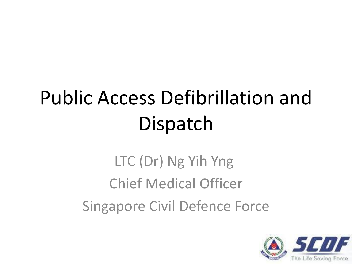# Public Access Defibrillation and **Dispatch**

LTC (Dr) Ng Yih Yng Chief Medical Officer Singapore Civil Defence Force

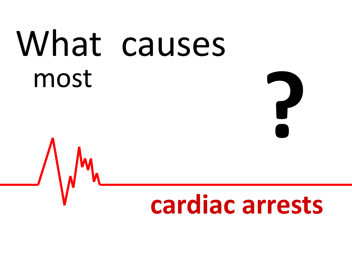# What causes most<br> *A I*,

# **cardiac arrests**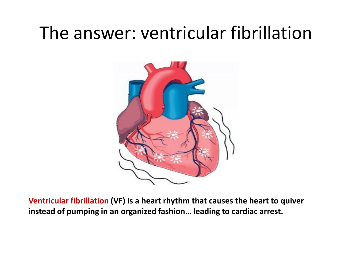### The answer: ventricular fibrillation



**Ventricular fibrillation (VF) is a heart rhythm that causes the heart to quiver instead of pumping in an organized fashion… leading to cardiac arrest.**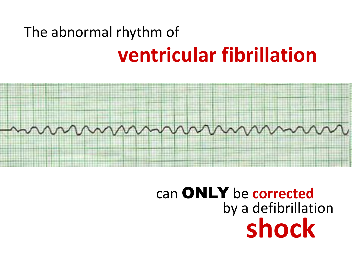### The abnormal rhythm of **ventricular fibrillation**



### can ONLY be **corrected** by a defibrillation **shock**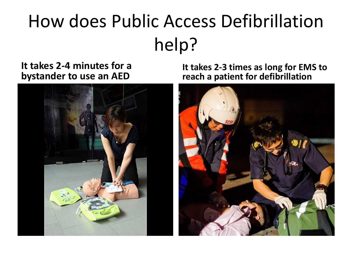# How does Public Access Defibrillation help?

#### **It takes 2-4 minutes for a bystander to use an AED**



**It takes 2-3 times as long for EMS to reach a patient for defibrillation**

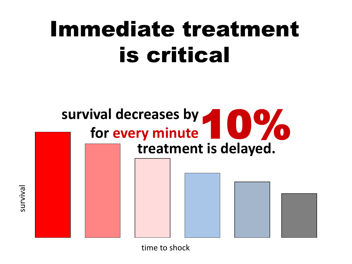# Immediate treatment is critical



time to shock

survival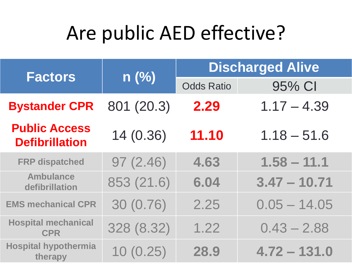# Are public AED effective?

| <b>Factors</b>                                | n(%)       | <b>Discharged Alive</b> |                |
|-----------------------------------------------|------------|-------------------------|----------------|
|                                               |            | <b>Odds Ratio</b>       | 95% CI         |
| <b>Bystander CPR</b>                          | 801 (20.3) | 2.29                    | $1.17 - 4.39$  |
| <b>Public Access</b><br><b>Defibrillation</b> | 14 (0.36)  | 11.10                   | $1.18 - 51.6$  |
| <b>FRP dispatched</b>                         | 97(2.46)   | 4.63                    | $1.58 - 11.1$  |
| <b>Ambulance</b><br>defibrillation            | 853 (21.6) | 6.04                    | $3.47 - 10.71$ |
| <b>EMS mechanical CPR</b>                     | 30 (0.76)  | 2.25                    | $0.05 - 14.05$ |
| <b>Hospital mechanical</b><br><b>CPR</b>      | 328 (8.32) | 1.22                    | $0.43 - 2.88$  |
| <b>Hospital hypothermia</b><br>therapy        | 10(0.25)   | 28.9                    | $4.72 - 131.0$ |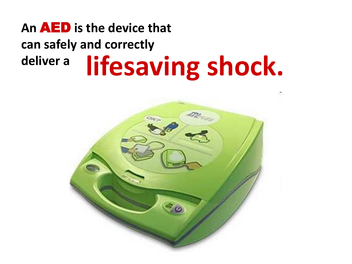### **An** AED **is the device that can safely and correctly deliver a lifesaving shock.**

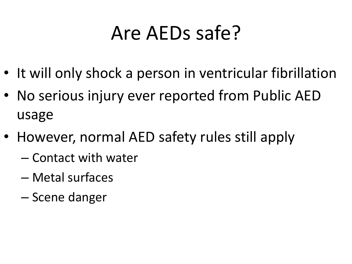# Are AEDs safe?

- It will only shock a person in ventricular fibrillation
- No serious injury ever reported from Public AED usage
- However, normal AED safety rules still apply
	- Contact with water
	- Metal surfaces
	- Scene danger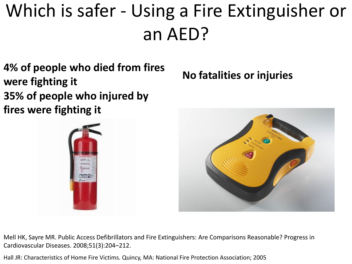# Which is safer - Using a Fire Extinguisher or an AED?

**4% of people who died from fires were fighting it 35% of people who injured by fires were fighting it**



**No fatalities or injuries**



Mell HK, Sayre MR. Public Access Defibrillators and Fire Extinguishers: Are Comparisons Reasonable? Progress in Cardiovascular Diseases. 2008;51(3):204–212.

Hall JR: Characteristics of Home Fire Victims. Quincy, MA: National Fire Protection Association; 2005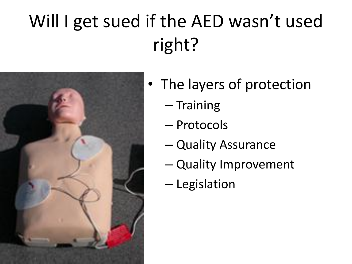# Will I get sued if the AED wasn't used right?



- The layers of protection
	- Training
	- Protocols
	- Quality Assurance
	- Quality Improvement
	- Legislation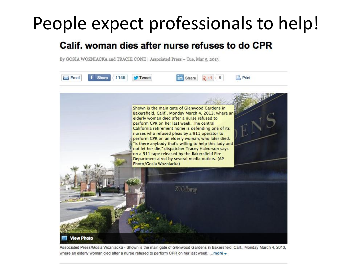### People expect professionals to help!

#### Calif, woman dies after nurse refuses to do CPR

By GOSIA WOZNIACKA and TRACIE CONE | Associated Press - Tue, Mar 5, 2013



Associated Press/Gosia Wozniacka - Shown is the main gate of Glenwood Gardens in Bakersfield, Calif., Monday March 4, 2013, where an elderly woman died after a nurse refused to perform CPR on her last week. ... more  $\star$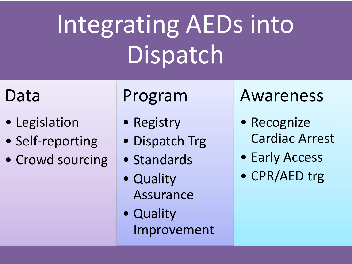# Integrating AEDs into Dispatch

### Data

- Legislation
- Self-reporting
- Crowd sourcing

### Program

- Registry
- Dispatch Trg
- Standards
- Quality Assurance
- Quality Improvement

### Awareness

- Recognize Cardiac Arrest
- Early Access
- CPR/AED trg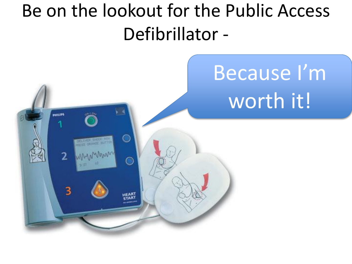### Be on the lookout for the Public Access Defibrillator -

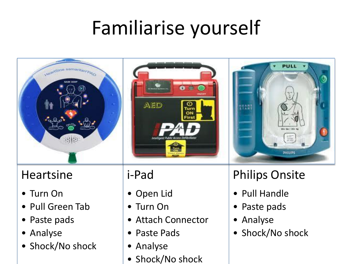# Familiarise yourself

ω Turi ON Firs



#### Heartsine

- Turn On
- Pull Green Tab
- Paste pads
- Analyse
- Shock/No shock

### i-Pad

• Open Lid

AED

- Turn On
- Attach Connector
- Paste Pads
- Analyse
- Shock/No shock



### Philips Onsite

- Pull Handle
- Paste pads
- Analyse
- Shock/No shock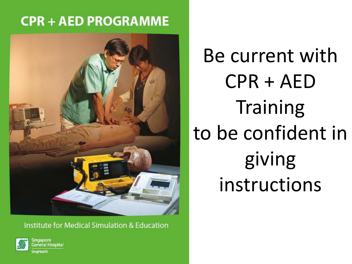### **CPR + AED PROGRAMME**



**Institute for Medical Simulation & Education** 



ingapore ieneral Hospital

Be current with CPR + AED **Training** to be confident in giving instructions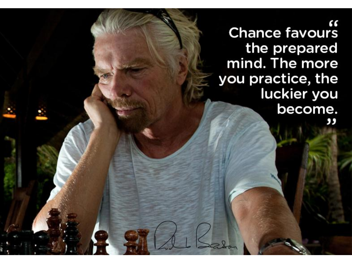" Chance favours the prepared mind. The more you practice, the luckier you become. ,,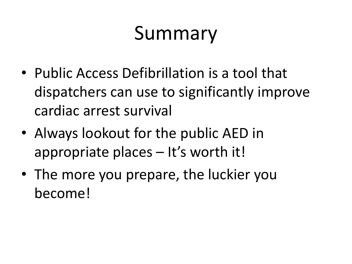# Summary

- Public Access Defibrillation is a tool that dispatchers can use to significantly improve cardiac arrest survival
- Always lookout for the public AED in appropriate places – It's worth it!
- The more you prepare, the luckier you become!